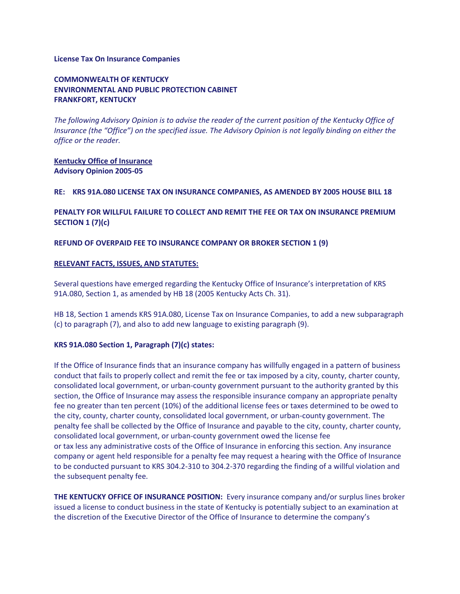## **License Tax On Insurance Companies**

# **COMMONWEALTH OF KENTUCKY ENVIRONMENTAL AND PUBLIC PROTECTION CABINET FRANKFORT, KENTUCKY**

*The following Advisory Opinion is to advise the reader of the current position of the Kentucky Office of Insurance (the "Office") on the specified issue. The Advisory Opinion is not legally binding on either the office or the reader.*

**Kentucky Office of Insurance Advisory Opinion 2005-05**

## **RE: KRS 91A.080 LICENSE TAX ON INSURANCE COMPANIES, AS AMENDED BY 2005 HOUSE BILL 18**

**PENALTY FOR WILLFUL FAILURE TO COLLECT AND REMIT THE FEE OR TAX ON INSURANCE PREMIUM SECTION 1 (7)(c)** 

## **REFUND OF OVERPAID FEE TO INSURANCE COMPANY OR BROKER SECTION 1 (9)**

#### **RELEVANT FACTS, ISSUES, AND STATUTES:**

Several questions have emerged regarding the Kentucky Office of Insurance's interpretation of KRS 91A.080, Section 1, as amended by HB 18 (2005 Kentucky Acts Ch. 31).

HB 18, Section 1 amends KRS 91A.080, License Tax on Insurance Companies, to add a new subparagraph (c) to paragraph (7), and also to add new language to existing paragraph (9).

## **KRS 91A.080 Section 1, Paragraph (7)(c) states:**

If the Office of Insurance finds that an insurance company has willfully engaged in a pattern of business conduct that fails to properly collect and remit the fee or tax imposed by a city, county, charter county, consolidated local government, or urban-county government pursuant to the authority granted by this section, the Office of Insurance may assess the responsible insurance company an appropriate penalty fee no greater than ten percent (10%) of the additional license fees or taxes determined to be owed to the city, county, charter county, consolidated local government, or urban-county government. The penalty fee shall be collected by the Office of Insurance and payable to the city, county, charter county, consolidated local government, or urban-county government owed the license fee or tax less any administrative costs of the Office of Insurance in enforcing this section. Any insurance company or agent held responsible for a penalty fee may request a hearing with the Office of Insurance to be conducted pursuant to KRS 304.2-310 to 304.2-370 regarding the finding of a willful violation and the subsequent penalty fee.

**THE KENTUCKY OFFICE OF INSURANCE POSITION:** Every insurance company and/or surplus lines broker issued a license to conduct business in the state of Kentucky is potentially subject to an examination at the discretion of the Executive Director of the Office of Insurance to determine the company's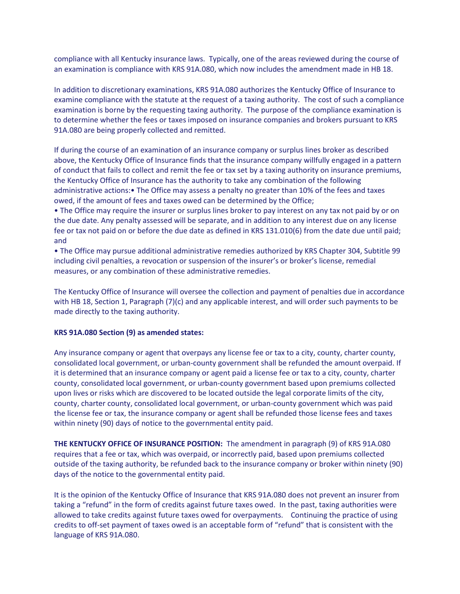compliance with all Kentucky insurance laws. Typically, one of the areas reviewed during the course of an examination is compliance with KRS 91A.080, which now includes the amendment made in HB 18.

In addition to discretionary examinations, KRS 91A.080 authorizes the Kentucky Office of Insurance to examine compliance with the statute at the request of a taxing authority. The cost of such a compliance examination is borne by the requesting taxing authority. The purpose of the compliance examination is to determine whether the fees or taxes imposed on insurance companies and brokers pursuant to KRS 91A.080 are being properly collected and remitted.

If during the course of an examination of an insurance company or surplus lines broker as described above, the Kentucky Office of Insurance finds that the insurance company willfully engaged in a pattern of conduct that fails to collect and remit the fee or tax set by a taxing authority on insurance premiums, the Kentucky Office of Insurance has the authority to take any combination of the following administrative actions:• The Office may assess a penalty no greater than 10% of the fees and taxes owed, if the amount of fees and taxes owed can be determined by the Office;

• The Office may require the insurer or surplus lines broker to pay interest on any tax not paid by or on the due date. Any penalty assessed will be separate, and in addition to any interest due on any license fee or tax not paid on or before the due date as defined in KRS 131.010(6) from the date due until paid; and

• The Office may pursue additional administrative remedies authorized by KRS Chapter 304, Subtitle 99 including civil penalties, a revocation or suspension of the insurer's or broker's license, remedial measures, or any combination of these administrative remedies.

The Kentucky Office of Insurance will oversee the collection and payment of penalties due in accordance with HB 18, Section 1, Paragraph (7)(c) and any applicable interest, and will order such payments to be made directly to the taxing authority.

## **KRS 91A.080 Section (9) as amended states:**

Any insurance company or agent that overpays any license fee or tax to a city, county, charter county, consolidated local government, or urban-county government shall be refunded the amount overpaid. If it is determined that an insurance company or agent paid a license fee or tax to a city, county, charter county, consolidated local government, or urban-county government based upon premiums collected upon lives or risks which are discovered to be located outside the legal corporate limits of the city, county, charter county, consolidated local government, or urban-county government which was paid the license fee or tax, the insurance company or agent shall be refunded those license fees and taxes within ninety (90) days of notice to the governmental entity paid.

**THE KENTUCKY OFFICE OF INSURANCE POSITION:** The amendment in paragraph (9) of KRS 91A.080 requires that a fee or tax, which was overpaid, or incorrectly paid, based upon premiums collected outside of the taxing authority, be refunded back to the insurance company or broker within ninety (90) days of the notice to the governmental entity paid.

It is the opinion of the Kentucky Office of Insurance that KRS 91A.080 does not prevent an insurer from taking a "refund" in the form of credits against future taxes owed. In the past, taxing authorities were allowed to take credits against future taxes owed for overpayments. Continuing the practice of using credits to off-set payment of taxes owed is an acceptable form of "refund" that is consistent with the language of KRS 91A.080.